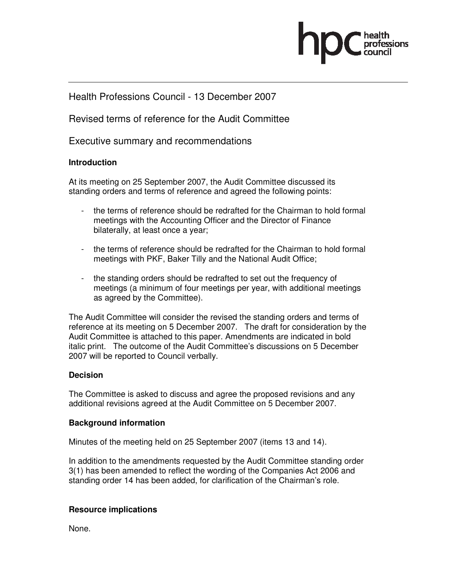

### Health Professions Council - 13 December 2007

Revised terms of reference for the Audit Committee

Executive summary and recommendations

#### **Introduction**

At its meeting on 25 September 2007, the Audit Committee discussed its standing orders and terms of reference and agreed the following points:

- the terms of reference should be redrafted for the Chairman to hold formal meetings with the Accounting Officer and the Director of Finance bilaterally, at least once a year;
- the terms of reference should be redrafted for the Chairman to hold formal meetings with PKF, Baker Tilly and the National Audit Office;
- the standing orders should be redrafted to set out the frequency of meetings (a minimum of four meetings per year, with additional meetings as agreed by the Committee).

The Audit Committee will consider the revised the standing orders and terms of reference at its meeting on 5 December 2007. The draft for consideration by the Audit Committee is attached to this paper. Amendments are indicated in bold italic print. The outcome of the Audit Committee's discussions on 5 December 2007 will be reported to Council verbally.

#### **Decision**

The Committee is asked to discuss and agree the proposed revisions and any additional revisions agreed at the Audit Committee on 5 December 2007.

#### **Background information**

Minutes of the meeting held on 25 September 2007 (items 13 and 14).

In addition to the amendments requested by the Audit Committee standing order 3(1) has been amended to reflect the wording of the Companies Act 2006 and standing order 14 has been added, for clarification of the Chairman's role.

#### **Resource implications**

None.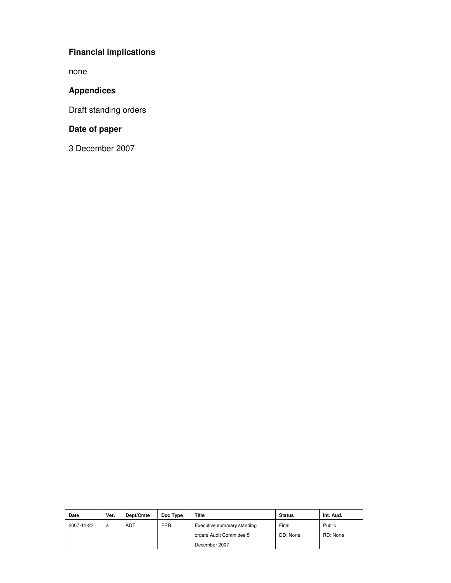# **Financial implications**

none

# **Appendices**

Draft standing orders

# **Date of paper**

3 December 2007

| Date       | Ver. | Dept/Cmte  | Doc Type   | Title                      | <b>Status</b> | Int. Aud. |
|------------|------|------------|------------|----------------------------|---------------|-----------|
| 2007-11-22 | a    | <b>ADT</b> | <b>PPR</b> | Executive summary standing | Final         | Public    |
|            |      |            |            | orders Audit Committee 5   | DD: None      | RD: None  |
|            |      |            |            | December 2007              |               |           |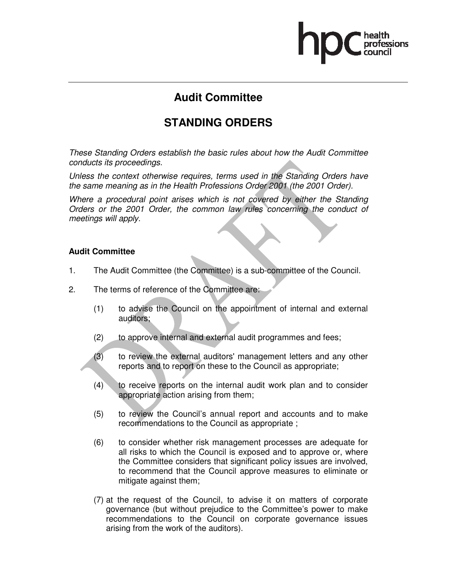# **Audit Committee**

# **STANDING ORDERS**

These Standing Orders establish the basic rules about how the Audit Committee conducts its proceedings.

Unless the context otherwise requires, terms used in the Standing Orders have the same meaning as in the Health Professions Order 2001 (the 2001 Order).

Where a procedural point arises which is not covered by either the Standing Orders or the 2001 Order, the common law rules concerning the conduct of meetings will apply.

#### **Audit Committee**

- 1. The Audit Committee (the Committee) is a sub-committee of the Council.
- 2. The terms of reference of the Committee are:
	- (1) to advise the Council on the appointment of internal and external auditors;
	- (2) to approve internal and external audit programmes and fees;
	- (3) to review the external auditors' management letters and any other reports and to report on these to the Council as appropriate;
	- (4) to receive reports on the internal audit work plan and to consider appropriate action arising from them;
	- (5) to review the Council's annual report and accounts and to make recommendations to the Council as appropriate ;
	- (6) to consider whether risk management processes are adequate for all risks to which the Council is exposed and to approve or, where the Committee considers that significant policy issues are involved, to recommend that the Council approve measures to eliminate or mitigate against them;
	- (7) at the request of the Council, to advise it on matters of corporate governance (but without prejudice to the Committee's power to make recommendations to the Council on corporate governance issues arising from the work of the auditors).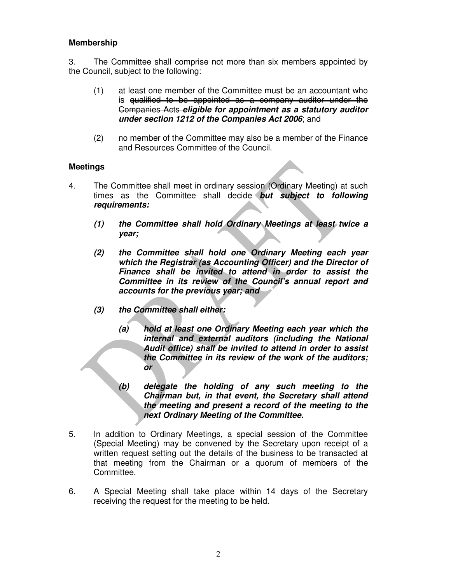#### **Membership**

3. The Committee shall comprise not more than six members appointed by the Council, subject to the following:

- (1) at least one member of the Committee must be an accountant who is qualified to be appointed as a company auditor under the Companies Acts **eligible for appointment as a statutory auditor under section 1212 of the Companies Act 2006**; and
- (2) no member of the Committee may also be a member of the Finance and Resources Committee of the Council.

#### **Meetings**

- 4. The Committee shall meet in ordinary session (Ordinary Meeting) at such times as the Committee shall decide **but subject to following requirements:** 
	- **(1) the Committee shall hold Ordinary Meetings at least twice a year;**
	- **(2) the Committee shall hold one Ordinary Meeting each year which the Registrar (as Accounting Officer) and the Director of Finance shall be invited to attend in order to assist the Committee in its review of the Council's annual report and accounts for the previous year; and**
	- **(3) the Committee shall either:** 
		- **(a) hold at least one Ordinary Meeting each year which the internal and external auditors (including the National Audit office) shall be invited to attend in order to assist the Committee in its review of the work of the auditors; or**
		- **(b) delegate the holding of any such meeting to the Chairman but, in that event, the Secretary shall attend the meeting and present a record of the meeting to the next Ordinary Meeting of the Committee.**
- 5. In addition to Ordinary Meetings, a special session of the Committee (Special Meeting) may be convened by the Secretary upon receipt of a written request setting out the details of the business to be transacted at that meeting from the Chairman or a quorum of members of the Committee.
- 6. A Special Meeting shall take place within 14 days of the Secretary receiving the request for the meeting to be held.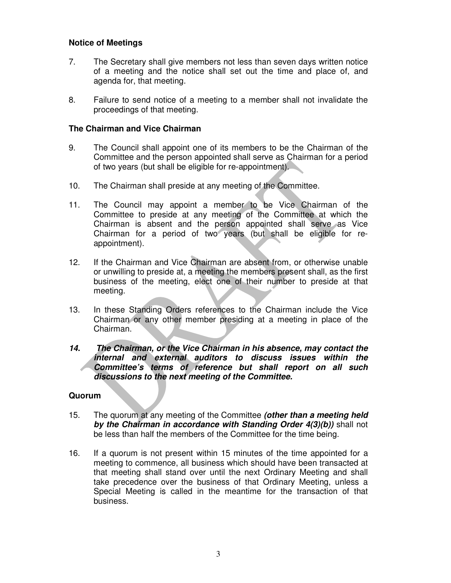#### **Notice of Meetings**

- 7. The Secretary shall give members not less than seven days written notice of a meeting and the notice shall set out the time and place of, and agenda for, that meeting.
- 8. Failure to send notice of a meeting to a member shall not invalidate the proceedings of that meeting.

#### **The Chairman and Vice Chairman**

- 9. The Council shall appoint one of its members to be the Chairman of the Committee and the person appointed shall serve as Chairman for a period of two years (but shall be eligible for re-appointment).
- 10. The Chairman shall preside at any meeting of the Committee.
- 11. The Council may appoint a member to be Vice Chairman of the Committee to preside at any meeting of the Committee at which the Chairman is absent and the person appointed shall serve as Vice Chairman for a period of two years (but shall be eligible for reappointment).
- 12. If the Chairman and Vice Chairman are absent from, or otherwise unable or unwilling to preside at, a meeting the members present shall, as the first business of the meeting, elect one of their number to preside at that meeting.
- 13. In these Standing Orders references to the Chairman include the Vice Chairman or any other member presiding at a meeting in place of the Chairman.
- **14. The Chairman, or the Vice Chairman in his absence, may contact the internal and external auditors to discuss issues within the Committee's terms of reference but shall report on all such discussions to the next meeting of the Committee.**

#### **Quorum**

- 15. The quorum at any meeting of the Committee **(other than a meeting held by the Chairman in accordance with Standing Order 4(3)(b))** shall not be less than half the members of the Committee for the time being.
- 16. If a quorum is not present within 15 minutes of the time appointed for a meeting to commence, all business which should have been transacted at that meeting shall stand over until the next Ordinary Meeting and shall take precedence over the business of that Ordinary Meeting, unless a Special Meeting is called in the meantime for the transaction of that business.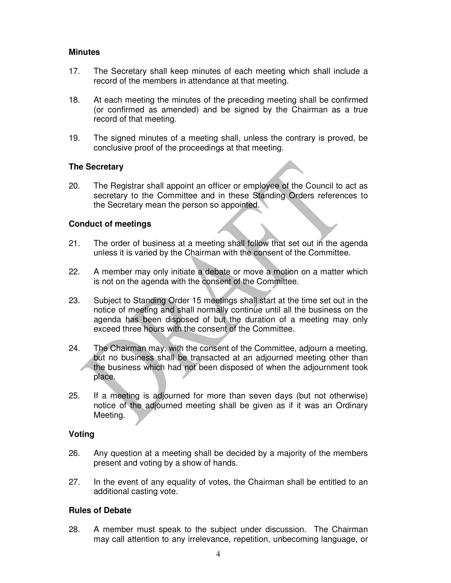#### **Minutes**

- 17. The Secretary shall keep minutes of each meeting which shall include a record of the members in attendance at that meeting.
- 18. At each meeting the minutes of the preceding meeting shall be confirmed (or confirmed as amended) and be signed by the Chairman as a true record of that meeting.
- 19. The signed minutes of a meeting shall, unless the contrary is proved, be conclusive proof of the proceedings at that meeting.

#### **The Secretary**

20. The Registrar shall appoint an officer or employee of the Council to act as secretary to the Committee and in these Standing Orders references to the Secretary mean the person so appointed.

#### **Conduct of meetings**

- 21. The order of business at a meeting shall follow that set out in the agenda unless it is varied by the Chairman with the consent of the Committee.
- 22. A member may only initiate a debate or move a motion on a matter which is not on the agenda with the consent of the Committee.
- 23. Subject to Standing Order 15 meetings shall start at the time set out in the notice of meeting and shall normally continue until all the business on the agenda has been disposed of but the duration of a meeting may only exceed three hours with the consent of the Committee.
- 24. The Chairman may, with the consent of the Committee, adjourn a meeting, but no business shall be transacted at an adjourned meeting other than the business which had not been disposed of when the adjournment took place.
- 25. If a meeting is adjourned for more than seven days (but not otherwise) notice of the adjourned meeting shall be given as if it was an Ordinary Meeting.

#### **Voting**

- 26. Any question at a meeting shall be decided by a majority of the members present and voting by a show of hands.
- 27. In the event of any equality of votes, the Chairman shall be entitled to an additional casting vote.

#### **Rules of Debate**

28. A member must speak to the subject under discussion. The Chairman may call attention to any irrelevance, repetition, unbecoming language, or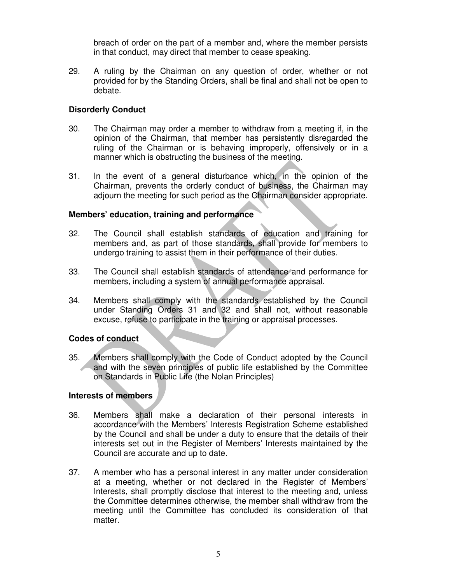breach of order on the part of a member and, where the member persists in that conduct, may direct that member to cease speaking.

29. A ruling by the Chairman on any question of order, whether or not provided for by the Standing Orders, shall be final and shall not be open to debate.

#### **Disorderly Conduct**

- 30. The Chairman may order a member to withdraw from a meeting if, in the opinion of the Chairman, that member has persistently disregarded the ruling of the Chairman or is behaving improperly, offensively or in a manner which is obstructing the business of the meeting.
- 31. In the event of a general disturbance which, in the opinion of the Chairman, prevents the orderly conduct of business, the Chairman may adjourn the meeting for such period as the Chairman consider appropriate.

#### **Members' education, training and performance**

- 32. The Council shall establish standards of education and training for members and, as part of those standards, shall provide for members to undergo training to assist them in their performance of their duties.
- 33. The Council shall establish standards of attendance and performance for members, including a system of annual performance appraisal.
- 34. Members shall comply with the standards established by the Council under Standing Orders 31 and 32 and shall not, without reasonable excuse, refuse to participate in the training or appraisal processes.

#### **Codes of conduct**

35. Members shall comply with the Code of Conduct adopted by the Council and with the seven principles of public life established by the Committee on Standards in Public Life (the Nolan Principles)

#### **Interests of members**

- 36. Members shall make a declaration of their personal interests in accordance with the Members' Interests Registration Scheme established by the Council and shall be under a duty to ensure that the details of their interests set out in the Register of Members' Interests maintained by the Council are accurate and up to date.
- 37. A member who has a personal interest in any matter under consideration at a meeting, whether or not declared in the Register of Members' Interests, shall promptly disclose that interest to the meeting and, unless the Committee determines otherwise, the member shall withdraw from the meeting until the Committee has concluded its consideration of that matter.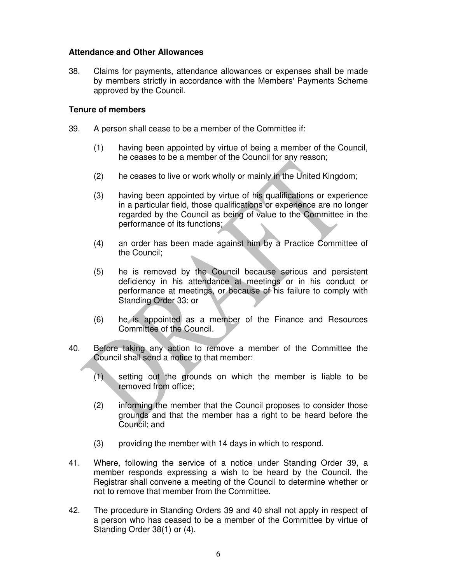#### **Attendance and Other Allowances**

38. Claims for payments, attendance allowances or expenses shall be made by members strictly in accordance with the Members' Payments Scheme approved by the Council.

#### **Tenure of members**

- 39. A person shall cease to be a member of the Committee if:
	- (1) having been appointed by virtue of being a member of the Council, he ceases to be a member of the Council for any reason;
	- (2) he ceases to live or work wholly or mainly in the United Kingdom;
	- (3) having been appointed by virtue of his qualifications or experience in a particular field, those qualifications or experience are no longer regarded by the Council as being of value to the Committee in the performance of its functions;
	- (4) an order has been made against him by a Practice Committee of the Council;
	- (5) he is removed by the Council because serious and persistent deficiency in his attendance at meetings or in his conduct or performance at meetings, or because of his failure to comply with Standing Order 33; or
	- (6) he is appointed as a member of the Finance and Resources Committee of the Council.
- 40. Before taking any action to remove a member of the Committee the Council shall send a notice to that member:
	- (1) setting out the grounds on which the member is liable to be removed from office;
	- (2) informing the member that the Council proposes to consider those grounds and that the member has a right to be heard before the Council; and
	- (3) providing the member with 14 days in which to respond.
- 41. Where, following the service of a notice under Standing Order 39, a member responds expressing a wish to be heard by the Council, the Registrar shall convene a meeting of the Council to determine whether or not to remove that member from the Committee.
- 42. The procedure in Standing Orders 39 and 40 shall not apply in respect of a person who has ceased to be a member of the Committee by virtue of Standing Order 38(1) or (4).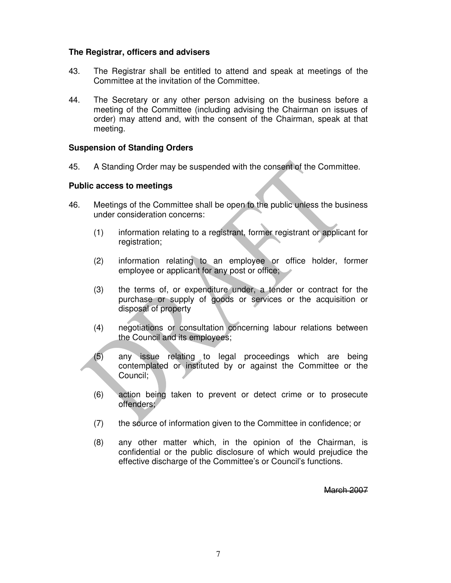#### **The Registrar, officers and advisers**

- 43. The Registrar shall be entitled to attend and speak at meetings of the Committee at the invitation of the Committee.
- 44. The Secretary or any other person advising on the business before a meeting of the Committee (including advising the Chairman on issues of order) may attend and, with the consent of the Chairman, speak at that meeting.

#### **Suspension of Standing Orders**

45. A Standing Order may be suspended with the consent of the Committee.

#### **Public access to meetings**

- 46. Meetings of the Committee shall be open to the public unless the business under consideration concerns:
	- (1) information relating to a registrant, former registrant or applicant for registration;
	- (2) information relating to an employee or office holder, former employee or applicant for any post or office;
	- (3) the terms of, or expenditure under, a tender or contract for the purchase or supply of goods or services or the acquisition or disposal of property
	- (4) negotiations or consultation concerning labour relations between the Council and its employees;
	- (5) any issue relating to legal proceedings which are being contemplated or instituted by or against the Committee or the Council;
	- (6) action being taken to prevent or detect crime or to prosecute offenders;
	- (7) the source of information given to the Committee in confidence; or
	- (8) any other matter which, in the opinion of the Chairman, is confidential or the public disclosure of which would prejudice the effective discharge of the Committee's or Council's functions.

March 2007